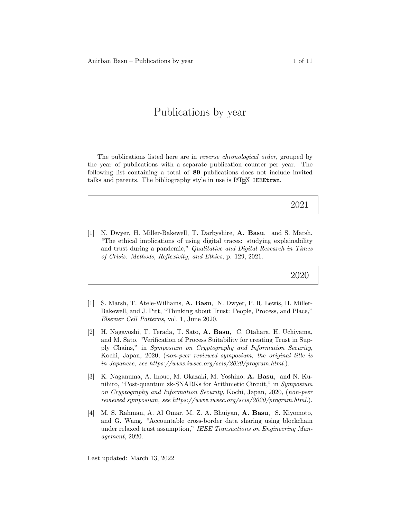# Publications by year

The publications listed here are in *reverse chronological order*, grouped by the year of publications with a separate publication counter per year. The following list containing a total of 89 publications does not include invited talks and patents. The bibliography style in use is L<sup>AT</sup>EX IEEEtran.

# 2021

[1] N. Dwyer, H. Miller-Bakewell, T. Darbyshire, A. Basu, and S. Marsh, "The ethical implications of using digital traces: studying explainability and trust during a pandemic," Qualitative and Digital Research in Times of Crisis: Methods, Reflexivity, and Ethics, p. 129, 2021.

# 2020

- [1] S. Marsh, T. Atele-Williams, A. Basu, N. Dwyer, P. R. Lewis, H. Miller-Bakewell, and J. Pitt, "Thinking about Trust: People, Process, and Place," Elsevier Cell Patterns, vol. 1, June 2020.
- [2] H. Nagayoshi, T. Terada, T. Sato, A. Basu, C. Otahara, H. Uchiyama, and M. Sato, "Verification of Process Suitability for creating Trust in Supply Chains," in Symposium on Cryptography and Information Security, Kochi, Japan, 2020, (non-peer reviewed symposium; the original title is in Japanese, see https://www.iwsec.org/scis/2020/program.html.).
- [3] K. Naganuma, A. Inoue, M. Okazaki, M. Yoshino, A. Basu, and N. Kunihiro, "Post-quantum zk-SNARKs for Arithmetic Circuit," in Symposium on Cryptography and Information Security, Kochi, Japan, 2020, (non-peer reviewed symposium, see https://www.iwsec.org/scis/2020/program.html.).
- [4] M. S. Rahman, A. Al Omar, M. Z. A. Bhuiyan, A. Basu, S. Kiyomoto, and G. Wang, "Accountable cross-border data sharing using blockchain under relaxed trust assumption," IEEE Transactions on Engineering Management, 2020.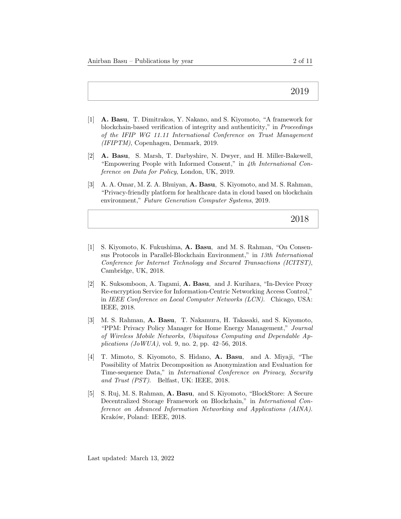- [1] A. Basu, T. Dimitrakos, Y. Nakano, and S. Kiyomoto, "A framework for blockchain-based verification of integrity and authenticity," in Proceedings of the IFIP WG 11.11 International Conference on Trust Management (IFIPTM), Copenhagen, Denmark, 2019.
- [2] A. Basu, S. Marsh, T. Darbyshire, N. Dwyer, and H. Miller-Bakewell, "Empowering People with Informed Consent," in 4th International Conference on Data for Policy, London, UK, 2019.
- [3] A. A. Omar, M. Z. A. Bhuiyan, A. Basu, S. Kiyomoto, and M. S. Rahman, "Privacy-friendly platform for healthcare data in cloud based on blockchain environment," Future Generation Computer Systems, 2019.

- [1] S. Kiyomoto, K. Fukushima, A. Basu, and M. S. Rahman, "On Consensus Protocols in Parallel-Blockchain Environment," in 13th International Conference for Internet Technology and Secured Transactions (ICITST), Cambridge, UK, 2018.
- [2] K. Suksomboon, A. Tagami, A. Basu, and J. Kurihara, "In-Device Proxy Re-encryption Service for Information-Centric Networking Access Control," in IEEE Conference on Local Computer Networks (LCN). Chicago, USA: IEEE, 2018.
- [3] M. S. Rahman, A. Basu, T. Nakamura, H. Takasaki, and S. Kiyomoto, "PPM: Privacy Policy Manager for Home Energy Management," Journal of Wireless Mobile Networks, Ubiquitous Computing and Dependable Applications  $(JoWUA)$ , vol. 9, no. 2, pp. 42–56, 2018.
- [4] T. Mimoto, S. Kiyomoto, S. Hidano, A. Basu, and A. Miyaji, "The Possibility of Matrix Decomposition as Anonymization and Evaluation for Time-sequence Data," in International Conference on Privacy, Security and Trust (PST). Belfast, UK: IEEE, 2018.
- [5] S. Ruj, M. S. Rahman, A. Basu, and S. Kiyomoto, "BlockStore: A Secure Decentralized Storage Framework on Blockchain," in International Conference on Advanced Information Networking and Applications (AINA). Kraków, Poland: IEEE, 2018.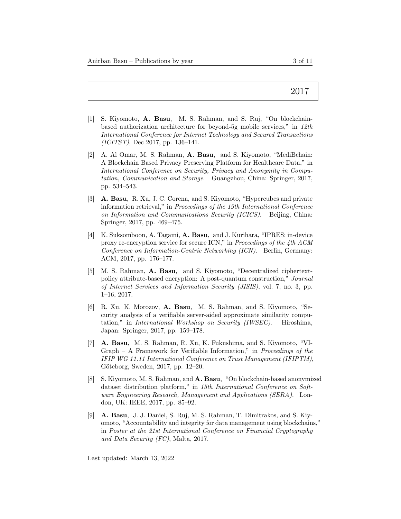- [1] S. Kiyomoto, A. Basu, M. S. Rahman, and S. Ruj, "On blockchainbased authorization architecture for beyond-5g mobile services," in 12th International Conference for Internet Technology and Secured Transactions (ICITST), Dec 2017, pp. 136–141.
- [2] A. Al Omar, M. S. Rahman, A. Basu, and S. Kiyomoto, "MediBchain: A Blockchain Based Privacy Preserving Platform for Healthcare Data," in International Conference on Security, Privacy and Anonymity in Computation, Communication and Storage. Guangzhou, China: Springer, 2017, pp. 534–543.
- [3] A. Basu, R. Xu, J. C. Corena, and S. Kiyomoto, "Hypercubes and private information retrieval," in Proceedings of the 19th International Conference on Information and Communications Security (ICICS). Beijing, China: Springer, 2017, pp. 469–475.
- [4] K. Suksomboon, A. Tagami, A. Basu, and J. Kurihara, "IPRES: in-device proxy re-encryption service for secure ICN," in Proceedings of the 4th ACM Conference on Information-Centric Networking (ICN). Berlin, Germany: ACM, 2017, pp. 176–177.
- [5] M. S. Rahman, A. Basu, and S. Kiyomoto, "Decentralized ciphertextpolicy attribute-based encryption: A post-quantum construction," Journal of Internet Services and Information Security (JISIS), vol. 7, no. 3, pp. 1–16, 2017.
- [6] R. Xu, K. Morozov, A. Basu, M. S. Rahman, and S. Kiyomoto, "Security analysis of a verifiable server-aided approximate similarity computation," in International Workshop on Security (IWSEC). Hiroshima, Japan: Springer, 2017, pp. 159–178.
- [7] A. Basu, M. S. Rahman, R. Xu, K. Fukushima, and S. Kiyomoto, "VI-Graph – A Framework for Verifiable Information," in Proceedings of the IFIP WG 11.11 International Conference on Trust Management (IFIPTM), Göteborg, Sweden, 2017, pp. 12–20.
- [8] S. Kiyomoto, M. S. Rahman, and A. Basu, "On blockchain-based anonymized dataset distribution platform," in 15th International Conference on Software Engineering Research, Management and Applications (SERA). London, UK: IEEE, 2017, pp. 85–92.
- [9] A. Basu, J. J. Daniel, S. Ruj, M. S. Rahman, T. Dimitrakos, and S. Kiyomoto, "Accountability and integrity for data management using blockchains," in Poster at the 21st International Conference on Financial Cryptography and Data Security (FC), Malta, 2017.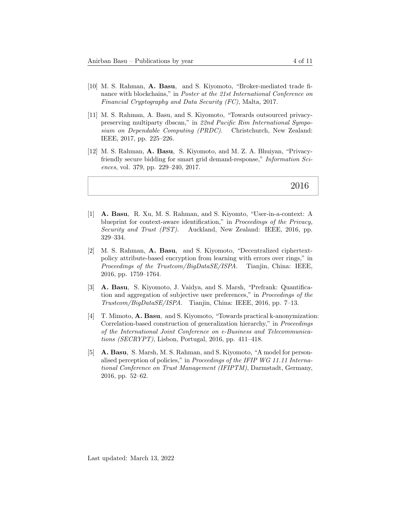- [10] M. S. Rahman, A. Basu, and S. Kiyomoto, "Broker-mediated trade finance with blockchains," in Poster at the 21st International Conference on Financial Cryptography and Data Security (FC), Malta, 2017.
- [11] M. S. Rahman, A. Basu, and S. Kiyomoto, "Towards outsourced privacypreserving multiparty dbscan," in 22nd Pacific Rim International Symposium on Dependable Computing (PRDC). Christchurch, New Zealand: IEEE, 2017, pp. 225–226.
- [12] M. S. Rahman, A. Basu, S. Kiyomoto, and M. Z. A. Bhuiyan, "Privacyfriendly secure bidding for smart grid demand-response," Information Sciences, vol. 379, pp. 229–240, 2017.

- [1] A. Basu, R. Xu, M. S. Rahman, and S. Kiyomto, "User-in-a-context: A blueprint for context-aware identification," in Proceedings of the Privacy, Security and Trust (PST). Auckland, New Zealand: IEEE, 2016, pp. 329–334.
- [2] M. S. Rahman, A. Basu, and S. Kiyomoto, "Decentralized ciphertextpolicy attribute-based encryption from learning with errors over rings," in Proceedings of the Trustcom/BigDataSE/ISPA. Tianjin, China: IEEE, 2016, pp. 1759–1764.
- [3] A. Basu, S. Kiyomoto, J. Vaidya, and S. Marsh, "Prefrank: Quantification and aggregation of subjective user preferences," in Proceedings of the Trustcom/BigDataSE/ISPA. Tianjin, China: IEEE, 2016, pp. 7–13.
- [4] T. Mimoto, A. Basu, and S. Kiyomoto, "Towards practical k-anonymization: Correlation-based construction of generalization hierarchy," in Proceedings of the International Joint Conference on e-Business and Telecommunications (SECRYPT), Lisbon, Portugal, 2016, pp. 411–418.
- [5] A. Basu, S. Marsh, M. S. Rahman, and S. Kiyomoto, "A model for personalised perception of policies," in Proceedings of the IFIP WG 11.11 International Conference on Trust Management (IFIPTM), Darmstadt, Germany, 2016, pp. 52–62.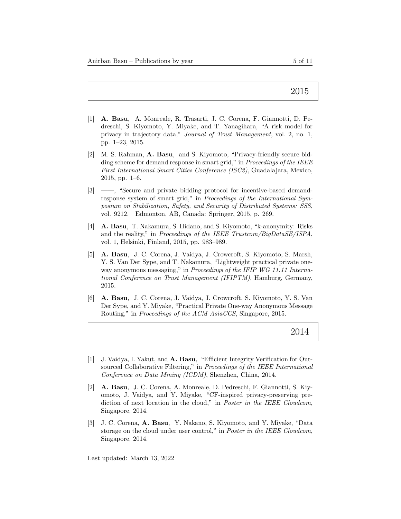- [1] A. Basu, A. Monreale, R. Trasarti, J. C. Corena, F. Giannotti, D. Pedreschi, S. Kiyomoto, Y. Miyake, and T. Yanagihara, "A risk model for privacy in trajectory data," Journal of Trust Management, vol. 2, no. 1, pp. 1–23, 2015.
- [2] M. S. Rahman, A. Basu, and S. Kiyomoto, "Privacy-friendly secure bidding scheme for demand response in smart grid," in *Proceedings of the IEEE* First International Smart Cities Conference (ISC2), Guadalajara, Mexico, 2015, pp. 1–6.
- [3] ——, "Secure and private bidding protocol for incentive-based demandresponse system of smart grid," in Proceedings of the International Symposium on Stabilization, Safety, and Security of Distributed Systems: SSS, vol. 9212. Edmonton, AB, Canada: Springer, 2015, p. 269.
- [4] A. Basu, T. Nakamura, S. Hidano, and S. Kiyomoto, "k-anonymity: Risks and the reality," in Proceedings of the IEEE Trustcom/BigDataSE/ISPA, vol. 1, Helsinki, Finland, 2015, pp. 983–989.
- [5] A. Basu, J. C. Corena, J. Vaidya, J. Crowcroft, S. Kiyomoto, S. Marsh, Y. S. Van Der Sype, and T. Nakamura, "Lightweight practical private oneway anonymous messaging," in Proceedings of the IFIP WG 11.11 International Conference on Trust Management (IFIPTM), Hamburg, Germany, 2015.
- [6] A. Basu, J. C. Corena, J. Vaidya, J. Crowcroft, S. Kiyomoto, Y. S. Van Der Sype, and Y. Miyake, "Practical Private One-way Anonymous Message Routing," in Proceedings of the ACM AsiaCCS, Singapore, 2015.

2014

- [1] J. Vaidya, I. Yakut, and A. Basu, "Efficient Integrity Verification for Outsourced Collaborative Filtering," in Proceedings of the IEEE International Conference on Data Mining (ICDM), Shenzhen, China, 2014.
- [2] A. Basu, J. C. Corena, A. Monreale, D. Pedreschi, F. Giannotti, S. Kiyomoto, J. Vaidya, and Y. Miyake, "CF-inspired privacy-preserving prediction of next location in the cloud," in *Poster in the IEEE Cloudcom*, Singapore, 2014.
- [3] J. C. Corena, A. Basu, Y. Nakano, S. Kiyomoto, and Y. Miyake, "Data storage on the cloud under user control," in Poster in the IEEE Cloudcom, Singapore, 2014.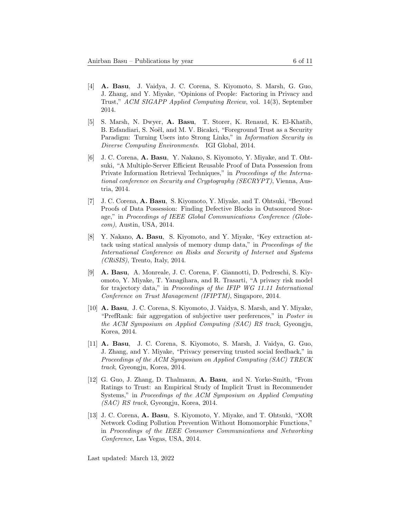- [4] A. Basu, J. Vaidya, J. C. Corena, S. Kiyomoto, S. Marsh, G. Guo, J. Zhang, and Y. Miyake, "Opinions of People: Factoring in Privacy and Trust," ACM SIGAPP Applied Computing Review, vol. 14(3), September 2014.
- [5] S. Marsh, N. Dwyer, A. Basu, T. Storer, K. Renaud, K. El-Khatib, B. Esfandiari, S. Noël, and M. V. Bicakci, "Foreground Trust as a Security Paradigm: Turning Users into Strong Links," in Information Security in Diverse Computing Environments. IGI Global, 2014.
- [6] J. C. Corena, A. Basu, Y. Nakano, S. Kiyomoto, Y. Miyake, and T. Ohtsuki, "A Multiple-Server Efficient Reusable Proof of Data Possession from Private Information Retrieval Techniques," in Proceedings of the International conference on Security and Cryptography (SECRYPT), Vienna, Austria, 2014.
- [7] J. C. Corena, A. Basu, S. Kiyomoto, Y. Miyake, and T. Ohtsuki, "Beyond Proofs of Data Possession: Finding Defective Blocks in Outsourced Storage," in Proceedings of IEEE Global Communications Conference (Globecom), Austin, USA, 2014.
- [8] Y. Nakano, A. Basu, S. Kiyomoto, and Y. Miyake, "Key extraction attack using statical analysis of memory dump data," in Proceedings of the International Conference on Risks and Security of Internet and Systems (CRiSIS), Trento, Italy, 2014.
- [9] A. Basu, A. Monreale, J. C. Corena, F. Giannotti, D. Pedreschi, S. Kiyomoto, Y. Miyake, T. Yanagihara, and R. Trasarti, "A privacy risk model for trajectory data," in Proceedings of the IFIP WG 11.11 International Conference on Trust Management (IFIPTM), Singapore, 2014.
- [10] A. Basu, J. C. Corena, S. Kiyomoto, J. Vaidya, S. Marsh, and Y. Miyake, "PrefRank: fair aggregation of subjective user preferences," in Poster in the ACM Symposium on Applied Computing (SAC) RS track, Gyeongju, Korea, 2014.
- [11] A. Basu, J. C. Corena, S. Kiyomoto, S. Marsh, J. Vaidya, G. Guo, J. Zhang, and Y. Miyake, "Privacy preserving trusted social feedback," in Proceedings of the ACM Symposium on Applied Computing (SAC) TRECK track, Gyeongju, Korea, 2014.
- [12] G. Guo, J. Zhang, D. Thalmann, A. Basu, and N. Yorke-Smith, "From Ratings to Trust: an Empirical Study of Implicit Trust in Recommender Systems," in Proceedings of the ACM Symposium on Applied Computing (SAC) RS track, Gyeongju, Korea, 2014.
- [13] J. C. Corena, A. Basu, S. Kiyomoto, Y. Miyake, and T. Ohtsuki, "XOR Network Coding Pollution Prevention Without Homomorphic Functions," in Proceedings of the IEEE Consumer Communications and Networking Conference, Las Vegas, USA, 2014.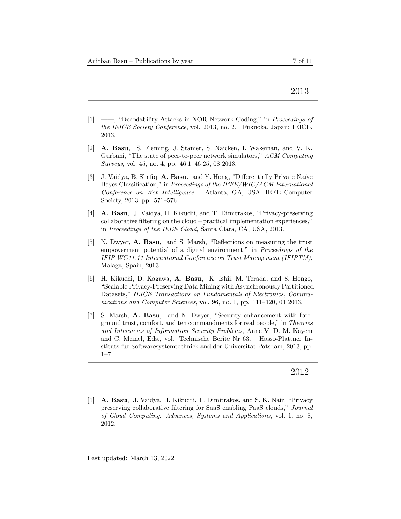- [1] ——, "Decodability Attacks in XOR Network Coding," in Proceedings of the IEICE Society Conference, vol. 2013, no. 2. Fukuoka, Japan: IEICE, 2013.
- [2] A. Basu, S. Fleming, J. Stanier, S. Naicken, I. Wakeman, and V. K. Gurbani, "The state of peer-to-peer network simulators," ACM Computing Surveys, vol. 45, no. 4, pp. 46:1–46:25, 08 2013.
- [3] J. Vaidya, B. Shafiq, A. Basu, and Y. Hong, "Differentially Private Naïve Bayes Classification," in Proceedings of the IEEE/WIC/ACM International Conference on Web Intelligence. Atlanta, GA, USA: IEEE Computer Society, 2013, pp. 571–576.
- [4] A. Basu, J. Vaidya, H. Kikuchi, and T. Dimitrakos, "Privacy-preserving collaborative filtering on the cloud – practical implementation experiences," in Proceedings of the IEEE Cloud, Santa Clara, CA, USA, 2013.
- [5] N. Dwyer, A. Basu, and S. Marsh, "Reflections on measuring the trust empowerment potential of a digital environment," in Proceedings of the IFIP WG11.11 International Conference on Trust Management (IFIPTM), Malaga, Spain, 2013.
- [6] H. Kikuchi, D. Kagawa, A. Basu, K. Ishii, M. Terada, and S. Hongo, "Scalable Privacy-Preserving Data Mining with Asynchronously Partitioned Datasets," IEICE Transactions on Fundamentals of Electronics, Communications and Computer Sciences, vol. 96, no. 1, pp. 111–120, 01 2013.
- [7] S. Marsh, A. Basu, and N. Dwyer, "Security enhancement with foreground trust, comfort, and ten commandments for real people," in Theories and Intricacies of Information Security Problems, Anne V. D. M. Kayem and C. Meinel, Eds., vol. Technische Berite Nr 63. Hasso-Plattner Instituts fur Softwaresystemtechnick and der Universitat Potsdam, 2013, pp.  $1 - 7$ .

# 2012

[1] A. Basu, J. Vaidya, H. Kikuchi, T. Dimitrakos, and S. K. Nair, "Privacy preserving collaborative filtering for SaaS enabling PaaS clouds," Journal of Cloud Computing: Advances, Systems and Applications, vol. 1, no. 8, 2012.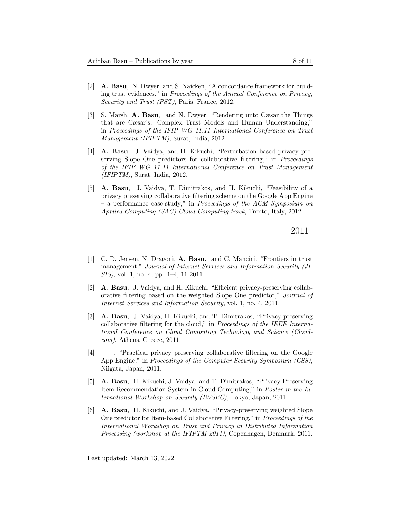- [2] A. Basu, N. Dwyer, and S. Naicken, "A concordance framework for building trust evidences," in Proceedings of the Annual Conference on Privacy, Security and Trust (PST), Paris, France, 2012.
- [3] S. Marsh, A. Basu, and N. Dwyer, "Rendering unto Cæsar the Things that are Cæsar's: Complex Trust Models and Human Understanding," in Proceedings of the IFIP WG 11.11 International Conference on Trust Management (IFIPTM), Surat, India, 2012.
- [4] A. Basu, J. Vaidya, and H. Kikuchi, "Perturbation based privacy preserving Slope One predictors for collaborative filtering," in Proceedings of the IFIP WG 11.11 International Conference on Trust Management  $(IFIPTM)$ , Surat, India, 2012.
- [5] A. Basu, J. Vaidya, T. Dimitrakos, and H. Kikuchi, "Feasibility of a privacy preserving collaborative filtering scheme on the Google App Engine – a performance case-study," in Proceedings of the ACM Symposium on Applied Computing (SAC) Cloud Computing track, Trento, Italy, 2012.

- [1] C. D. Jensen, N. Dragoni, A. Basu, and C. Mancini, "Frontiers in trust management," Journal of Internet Services and Information Security (JI-SIS), vol. 1, no. 4, pp. 1–4, 11 2011.
- [2] A. Basu, J. Vaidya, and H. Kikuchi, "Efficient privacy-preserving collaborative filtering based on the weighted Slope One predictor," Journal of Internet Services and Information Security, vol. 1, no. 4, 2011.
- [3] A. Basu, J. Vaidya, H. Kikuchi, and T. Dimitrakos, "Privacy-preserving collaborative filtering for the cloud," in Proceedings of the IEEE International Conference on Cloud Computing Technology and Science (Cloudcom), Athens, Greece, 2011.
- [4] ——, "Practical privacy preserving collaborative filtering on the Google App Engine," in Proceedings of the Computer Security Symposium (CSS), Niigata, Japan, 2011.
- [5] A. Basu, H. Kikuchi, J. Vaidya, and T. Dimitrakos, "Privacy-Preserving Item Recommendation System in Cloud Computing," in Poster in the International Workshop on Security (IWSEC), Tokyo, Japan, 2011.
- [6] A. Basu, H. Kikuchi, and J. Vaidya, "Privacy-preserving weighted Slope One predictor for Item-based Collaborative Filtering," in Proceedings of the International Workshop on Trust and Privacy in Distributed Information Processing (workshop at the IFIPTM 2011), Copenhagen, Denmark, 2011.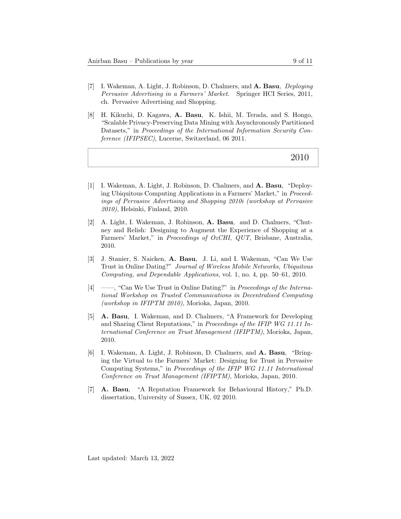- [7] I. Wakeman, A. Light, J. Robinson, D. Chalmers, and A. Basu, Deploying Pervasive Advertising in a Farmers' Market. Springer HCI Series, 2011, ch. Pervasive Advertising and Shopping.
- [8] H. Kikuchi, D. Kagawa, A. Basu, K. Ishii, M. Terada, and S. Hongo, "Scalable Privacy-Preserving Data Mining with Asynchronously Partitioned Datasets," in Proceedings of the International Information Security Conference (IFIPSEC), Lucerne, Switzerland, 06 2011.

- [1] I. Wakeman, A. Light, J. Robinson, D. Chalmers, and A. Basu, "Deploying Ubiquitous Computing Applications in a Farmers' Market," in Proceedings of Pervasive Advertising and Shopping 2010i (workshop at Pervasive 2010), Helsinki, Finland, 2010.
- [2] A. Light, I. Wakeman, J. Robinson, A. Basu, and D. Chalmers, "Chutney and Relish: Designing to Augment the Experience of Shopping at a Farmers' Market," in Proceedings of OzCHI, QUT, Brisbane, Australia, 2010.
- [3] J. Stanier, S. Naicken, A. Basu, J. Li, and I. Wakeman, "Can We Use Trust in Online Dating?" Journal of Wireless Mobile Networks, Ubiquitous Computing, and Dependable Applications, vol. 1, no. 4, pp. 50–61, 2010.
- [4] ——, "Can We Use Trust in Online Dating?" in Proceedings of the International Workshop on Trusted Communications in Decentralised Computing (workshop in IFIPTM 2010), Morioka, Japan, 2010.
- [5] A. Basu, I. Wakeman, and D. Chalmers, "A Framework for Developing and Sharing Client Reputations," in Proceedings of the IFIP WG 11.11 International Conference on Trust Management (IFIPTM), Morioka, Japan, 2010.
- [6] I. Wakeman, A. Light, J. Robinson, D. Chalmers, and A. Basu, "Bringing the Virtual to the Farmers' Market: Designing for Trust in Pervasive Computing Systems," in Proceedings of the IFIP WG 11.11 International Conference on Trust Management (IFIPTM), Morioka, Japan, 2010.
- [7] A. Basu, "A Reputation Framework for Behavioural History," Ph.D. dissertation, University of Sussex, UK, 02 2010.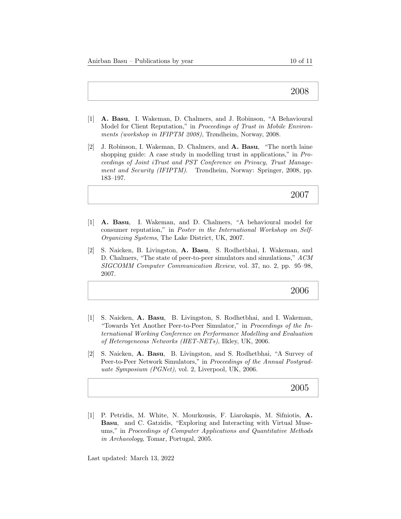- [1] A. Basu, I. Wakeman, D. Chalmers, and J. Robinson, "A Behavioural Model for Client Reputation," in Proceedings of Trust in Mobile Environments (workshop in IFIPTM 2008), Trøndheim, Norway, 2008.
- [2] J. Robinson, I. Wakeman, D. Chalmers, and A. Basu, "The north laine shopping guide: A case study in modelling trust in applications," in Proceedings of Joint iTrust and PST Conference on Privacy, Trust Management and Security (IFIPTM). Trøndheim, Norway: Springer, 2008, pp. 183–197.

# 2007

- [1] A. Basu, I. Wakeman, and D. Chalmers, "A behavioural model for consumer reputation," in Poster in the International Workshop on Self-Organizing Systems, The Lake District, UK, 2007.
- [2] S. Naicken, B. Livingston, A. Basu, S. Rodhetbhai, I. Wakeman, and D. Chalmers, "The state of peer-to-peer simulators and simulations," ACM SIGCOMM Computer Communication Review, vol. 37, no. 2, pp. 95–98, 2007.

#### 2006

- [1] S. Naicken, A. Basu, B. Livingston, S. Rodhetbhai, and I. Wakeman, "Towards Yet Another Peer-to-Peer Simulator," in Proceedings of the International Working Conference on Performance Modelling and Evaluation of Heterogeneous Networks (HET-NETs), Ilkley, UK, 2006.
- [2] S. Naicken, A. Basu, B. Livingston, and S. Rodhetbhai, "A Survey of Peer-to-Peer Network Simulators," in Proceedings of the Annual Postgraduate Symposium (PGNet), vol. 2, Liverpool, UK, 2006.

#### 2005

[1] P. Petridis, M. White, N. Mourkousis, F. Liarokapis, M. Sifniotis, A. Basu, and C. Gatzidis, "Exploring and Interacting with Virtual Museums," in Proceedings of Computer Applications and Quantitative Methods in Archaeology, Tomar, Portugal, 2005.